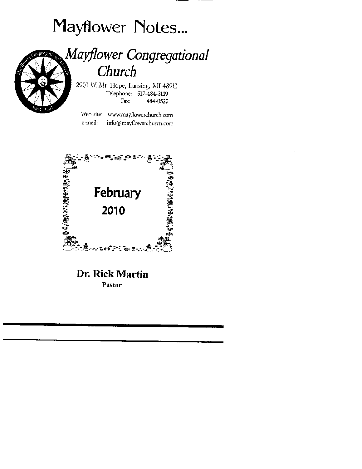# Mayflower Notes...



# Mayflower Congregational Church

2901 W. Mt. Hope, Lansing, MI 48911 Telephone: 517-484-3139 Fax: 484-0525

Web site: www.mayflowerchurch.com e-mail: info@mayflowerchurch.com



# Dr. Rick Martin Pastor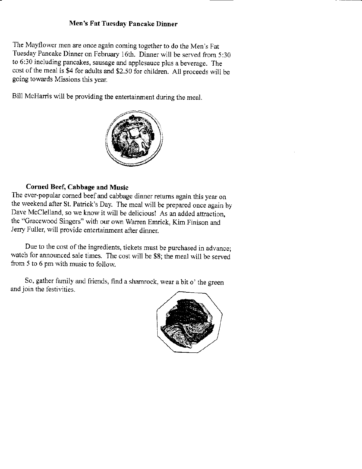#### Men's Fat Tuesday Pancake Dinner

The Mayflower men are once again coming together to do the Men's Fat Tuesday Pancake Dinner on February 16th. Dinner will be served from 5:30 to 6:30 including pancakes, sausage and applesauce plus a beverage. The cost of the meal is \$4 for adults and \$2.50 for children. All proceeds will be going towards Missions this year.

Bill McHarris will be providing the entertainment during the meal.



## Corned Beef, Cabbage and Music

The ever-popular corned beef and cabbage dinner returns again this year on the weekend after St. Patrick's Day. The meal will be prepared once again by Dave McClelland. so we know it will be delicious! As an added attraction, the "Gracewood Singers" with our own Warren Emrick, Kim Finison and Jerry Fuller, will provide entertainment affer dinner.

Due to the cost of the ingredients, tickets must be purchased in advance; watch for announced sale times. The cost will be \$8; the meal will be served fiom 5 to 6 pm with music to follow.

So, gather family and friends, find a shamrock, wear a bit o' the greenand join the festivities.

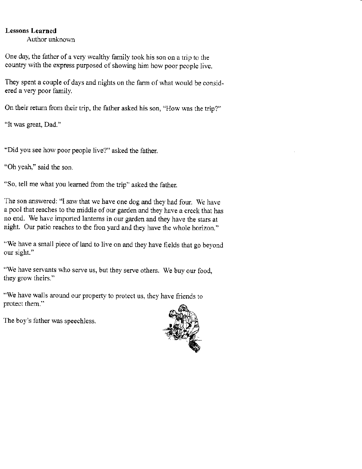### Lessons Learned

Author unknown

One day, the father of a very wealthy family took his son on a trip to the country with the express purposed of showing him how poor people live.

They spent a couple of days and nights on the farm of what would be considered a very poor family.

On their return from their trip, the father asked his son, "How was the trip?"

"It was great, Dad."

"Did you see how poor people live?" asked the father.

"Oh yeah," said the son.

"So, tell me what you learned from the trip" asked the father.

The son answered: "I saw that we have one dog and they had four. We have a pool that reaches to the middle of our garden and they have a creek that has no end. We have imported lantems in our garden and they have the stars at night. Our patio reaches to the fron yard and they have the whole horizon."

"We have a small piece of land to live on and they have fields that go beyond our sight."

"We have servants who serve us, but they serve others. We buy our food, they grow theirs."

"We have walls around our propertv to protect us, they have friends to protect them."



The boy's father was speechless.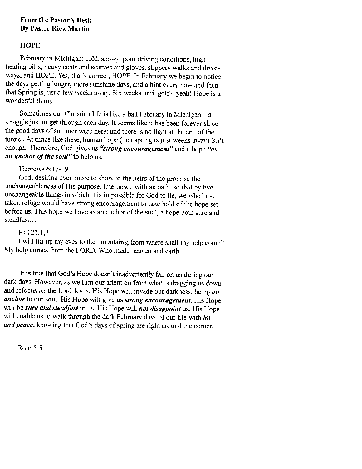## From the Pastor's Desk By Pastor Rick Martin

# **HOPE**

February in Michigan: cold, snowy, poor driving conditions, high heating bills, heavy coats and scarves and gloves, slippery walks and driveways, and HOPE. Yes, that's correct, HOPE. In February we begin to notice the days getting longer, more sunshine days, and a hint every now and then that Spring is just a few weeks away. Six weeks until golf  $-$  yeah! Hope is a wonderful thing.

Sometimes our Christian life is like a bad February in Michigan  $-$  a struggle just to get through each day. It seems like it has been forever since the good days of summer were here; and there is no light at the end of the tunnel. At times like these, human hope (that spring is just weeks away) isn't enough. Therefore, God gives us "strong encouragement" and a hope "as an anchor of the soul" to help us.

# Hebrews 6:17-19

God, desiring even more to show to the heirs of the promise the unchangeableness of His purpose, interposed with an oath, so that by two unchangeable things in which it is impossible for God to lie, we who have taken refuge would have strong encouragement to take hold of the hope set before us. This hope we have as an anchor of the soul, a hope both sure and steadfast...

# Ps 121:1,2

I will lift up my eyes to the mountains; from where shall my help come? My help comes from the LORD, Who made heaven and earth.

It is true that God's Hope doesn't inadvertently fall on us during our dark days. However, as we turn our attention from what is dragging us down and refocus on the Lord Jesus, His Hope will invade our darkness; being  $an$ anchor to our soul. His Hope will give us *strong encouragement*. His Hope will be sure and steadfast in us. His Hope will not disappoint us. His Hope will enable us to walk through the dark February days of our life with  $joy$ and peace, knowing that God's days of spring are right around the corner.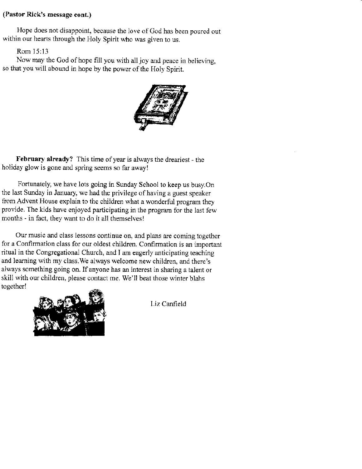### (Pastor Rick's message cont.)

Hope does not disappoint, because the love of God has been poured out within our hearts through the Holy Spirit who was given to us.

Rom l5:13

Now may the God of hope fill you with all joy and peace in believing. so that you will abound in hope by the power of the Holy Spirit.



February already? This time of year is always the dreariest - the holiday glow is gone and spring seems so far away!

Fortunateiy, we have lots going in Sunday School to keep us busy.On the last Sunday in January, we had the privilege of having a guest speaker from Advent House explain to the children what a wonderful program they provide. The kids have enjoyed participating in the program for the last few months - in fact, they want to do it all themselvesl

Our music and class lessons continue on, and plans are coming together for a Confirmation class for our oldest children. Confirmation is an important ritual in the Congregational Church, and I am eagerly anticipating teaching and learning with my class.We always welcome new chiidren, and there's always something going on. If anyone has an interest in sharing a talent or skill with our children, please contact me, We'll beat those winter blahs together!



Liz Canfield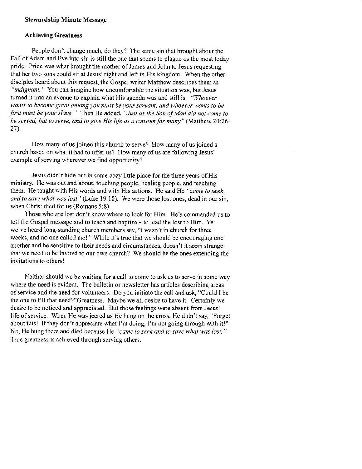#### Stewardship Minute Message

#### Achieving Creatness

People don't change much, do they? The same sin that brought about the Fall of Adam and Eve into sin is still the one that seems to plague us the most today: pride. Pride was what brought the mother of James and John to Jesus requesting that her two sons could sit at Jesus' right and left in His kingdom. When the other disciples heard about this request, the Gospel writer Matthew describes them as "indignant." You can imagine how uncomfortable the situation was, but Jesus turned it into an avenue to explain what His agenda was and still is. "Whoever wants to become great among you must be your servant, and whoever wants to be first must be your slave." Then He added, "Just as the Son of Man did not come to be served, but to serve, and to give His life as a ransom for many" (Matthew 20:26-27).

How many of us joined this church to serve? How many of us joined a church based on what it had to offer us? How many of us are following Jesus' example of serving wherever we find opportunity?

Jesus didn't hide out in some cozy little place for the three years of His ministry. He was out and about, touching people, healiog people, and teaching them. He taught with His words and with His actions. He said He "came to seek and to save what was lost" (Luke 19:10). We were those lost ones, dead in our sin, when Christ died for us (Romans 5:8).

Those who are lost don't know where to look for Him. He's commanded us to tell the Gospel message and to teach and baptize - to lead the lost to Him. Yet we've heard long-standing church members say, "I wasn't in church for three weeks, and no one called me!" While it's true that we should be encouraging one another and be sensitive to their needs and circumstances, doesn't it seem strange that we need to be invited to our own church? We should be the ones extending the invitations to others!

Neither should we be waiting for a call to come to ask us to serve in some way where the need is evident. The bulletin or newsletter has articles describing areas of service and the need for volunteers. Do you initiate the call and ask, "Could I be the one to fill that need?"Greatness. Maybe we all desire to have it. Certainly we desire to be noticed and appreciated. But those feelings were absent fiom Jesus' life of service. When He was jeered as He hung on the cross, He didn't say, "Forget about this! If they don't appreciate what I'm doing, I'm not going through with it!" No, He hung there and died because He "came to seek and to save what was lost." True greatness is achieved through serving others.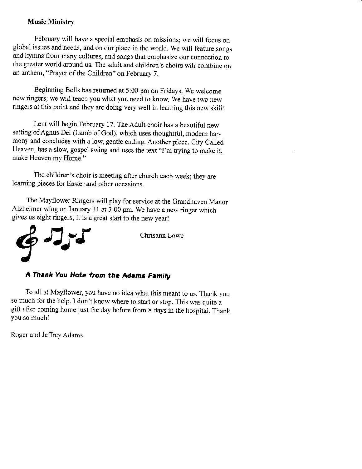### Music Ministry

February will have a special emphasis on missions; we will focus on global issues and needs, and on our place in the world. We will feature songs and hymns from many cultures, and songs that emphasize our connection to the greater world around us. The adult and children's choirs will combine on an anthem, "Prayer of the Children" on February 7.

Beginning Bells has retumed at 5:00 pm on Fridays. We welcome new ringers; we will teach you what you need to know. We have two new ringers at this point and they are doing very well in learning this new skill!

Lent will begin February 17. The Adult choir has a beautiful new setting of Agnus Dei (Lamb of God), which uses thoughtful, modern harmony and concludes with a low, gentle ending. Another piece, City Called Heaven, has a slow, gospel swing and uses the text "I'm trying to make it, make Heaven my Home."

The children's choir is meeting after church each week; they are learning pieces for Easter and other occasions.

The Mayflower Ringers will play for service at the Grandhaven Manor Alzheimer wing on January 31 at 3:00 pm. We have a new ringer which gives us eight ringers; it is a great start to the new year!



# A Thank You Note from the Adams Family

To all at Mayflower, you have no idea what this meant to us. Thank you so much for the help. I don't know where to start or stop. This was quite a gift after coming home just the day before from 8 days in the hospital. Thank you so much!

Roger and Jeffrey Adams